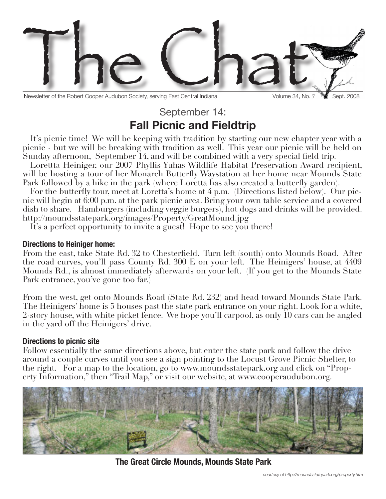

Newsletter of the Robert Cooper Audubon Society, serving East Central Indiana Volume 34, No. 7 Website. 2008

# September 14: **Fall Picnic and Fieldtrip**

It's picnic time! We will be keeping with tradition by starting our new chapter year with a picnic - but we will be breaking with tradition as well. This year our picnic will be held on Sunday afternoon, September 14, and will be combined with a very special field trip.

Lorettta Heiniger, our 2007 Phyllis Yuhas Wildlife Habitat Preservation Award recipient, will be hosting a tour of her Monarch Butterfly Waystation at her home near Mounds State Park followed by a hike in the park (where Loretta has also created a butterfly garden).

For the butterfly tour, meet at Loretta's home at 4 p.m. (Directions listed below). Our picnic will begin at 6:00 p.m. at the park picnic area. Bring your own table service and a covered dish to share. Hamburgers (including veggie burgers), hot dogs and drinks will be provided. http://moundsstatepark.org/images/Property/GreatMound.jpg

It's a perfect opportunity to invite a guest! Hope to see you there!

### **Directions to Heiniger home:**

From the east, take State Rd. 32 to Chesterfield. Turn left (south) onto Mounds Road. After the road curves, you'll pass County Rd. 300 E on your left. The Heinigers' house, at 4409 Mounds Rd., is almost immediately afterwards on your left. (If you get to the Mounds State Park entrance, you've gone too far.)

From the west, get onto Mounds Road (State Rd. 232) and head toward Mounds State Park. The Heinigers' home is 5 houses past the state park entrance on your right. Look for a white, 2-story house, with white picket fence. We hope you'll carpool, as only 10 cars can be angled in the yard off the Heinigers' drive.

## **Directions to picnic site**

Follow essentially the same directions above, but enter the state park and follow the drive around a couple curves until you see a sign pointing to the Locust Grove Picnic Shelter, to the right. For a map to the location, go to www.moundsstatepark.org and click on "Property Information," then "Trail Map," or visit our website, at www.cooperaudubon.org.



**The Great Circle Mounds, Mounds State Park**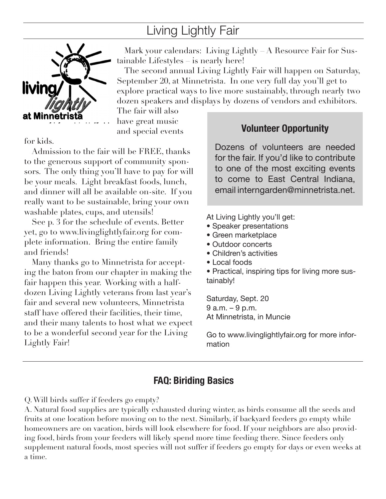# Living Lightly Fair



Mark your calendars: Living Lightly – A Resource Fair for Sustainable Lifestyles – is nearly here!

The second annual Living Lightly Fair will happen on Saturday, September 20, at Minnetrista. In one very full day you'll get to explore practical ways to live more sustainably, through nearly two dozen speakers and displays by dozens of vendors and exhibitors.

The fair will also have great music and special events

for kids.

Admission to the fair will be FREE, thanks to the generous support of community sponsors. The only thing you'll have to pay for will be your meals. Light breakfast foods, lunch, and dinner will all be available on-site. If you really want to be sustainable, bring your own washable plates, cups, and utensils!

See p. 3 for the schedule of events. Better yet, go to www.livinglightlyfair.org for complete information. Bring the entire family and friends!

Many thanks go to Minnetrista for accepting the baton from our chapter in making the fair happen this year. Working with a halfdozen Living Lightly veterans from last year's fair and several new volunteers, Minnetrista staff have offered their facilities, their time, and their many talents to host what we expect to be a wonderful second year for the Living Lightly Fair!

# **Volunteer Opportunity**

Dozens of volunteers are needed for the fair. If you'd like to contribute to one of the most exciting events to come to East Central Indiana, email interngarden@minnetrista.net.

At Living Lightly you'll get:

- Speaker presentations
- Green marketplace
- Outdoor concerts
- Children's activities
- Local foods
- Practical, inspiring tips for living more sustainably!

Saturday, Sept. 20 9 a.m. – 9 p.m. At Minnetrista, in Muncie

Go to www.livinglightlyfair.org for more information

# **FAQ: Biriding Basics**

Q. Will birds suffer if feeders go empty?

A. Natural food supplies are typically exhausted during winter, as birds consume all the seeds and fruits at one location before moving on to the next. Similarly, if backyard feeders go empty while homeowners are on vacation, birds will look elsewhere for food. If your neighbors are also providing food, birds from your feeders will likely spend more time feeding there. Since feeders only supplement natural foods, most species will not suffer if feeders go empty for days or even weeks at a time.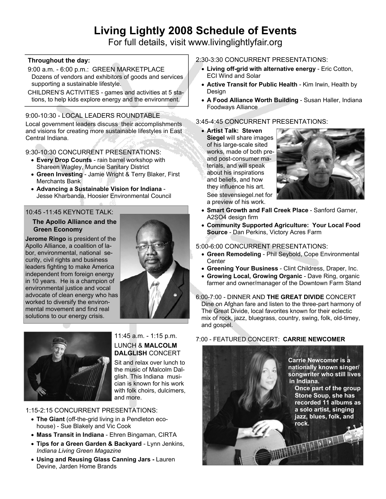# **Living Lightly 2008 Schedule of Events**

For full details, visit www.livinglightlyfair.org

#### **Throughout the day:**

- 9:00 a.m. 6:00 p.m.: GREEN MARKETPLACE Dozens of vendors and exhibitors of goods and services supporting a sustainable lifestyle.
- CHILDREN'S ACTIVITIES games and activities at 5 stations, to help kids explore energy and the environment.

# 9:00-10:30 - LOCAL LEADERS ROUNDTABLE

Local government leaders discuss their accomplishments and visions for creating more sustainable lifestyles in East Central Indiana.

9:30-10:30 CONCURRENT PRESENTATIONS:

- **Every Drop Counts** rain barrel workshop with Shareen Wagley, Muncie Sanitary District
- x **Green Investing**  Jamie Wright & Terry Blaker, First Merchants Bank
- x **Advancing a Sustainable Vision for Indiana**  Jesse Kharbanda, Hoosier Environmental Council

#### 10:45 -11:45 KEYNOTE TALK:

#### **The Apollo Alliance and the Green Economy**

**Jerome Ringo** is president of the Apollo Alliance, a coalition of labor, environmental, national security, civil rights and business leaders fighting to make America independent from foreign energy in 10 years. He is a champion of environmental justice and vocal advocate of clean energy who has worked to diversify the environmental movement and find real solutions to our energy crisis.





#### 11:45 a.m. - 1:15 p.m. LUNCH & **MALCOLM DALGLISH** CONCERT

Sit and relax over lunch to the music of Malcolm Dalglish. This Indiana musician is known for his work with folk choirs, dulcimers, and more.

1:15-2:15 CONCURRENT PRESENTATIONS:

- The Giant (off-the-grid living in a Pendleton ecohouse) - Sue Blakely and Vic Cook
- x **Mass Transit in Indiana**  Ehren Bingaman, CIRTA
- **Tips for a Green Garden & Backyard** Lynn Jenkins, *Indiana Living Green Magazine*
- x **Using and Reusing Glass Canning Jars** Lauren Devine, Jarden Home Brands

# 2:30-3:30 CONCURRENT PRESENTATIONS:

- x **Living off-grid with alternative energy**  Eric Cotton, ECI Wind and Solar
- **Active Transit for Public Health Kim Irwin, Health by Design**
- x **A Food Alliance Worth Building**  Susan Haller, Indiana Foodways Alliance

## 3:45-4:45 CONCURRENT PRESENTATIONS:

x **Artist Talk: Steven Siegel** will share images of his large-scale sited works, made of both preand post-consumer materials, and will speak about his inspirations and beliefs, and how they influence his art. See stevensiegel.net for a preview of his work.



- x **Smart Growth and Fall Creek Place** Sanford Garner, A2SO4 design firm
- **Community Supported Agriculture: Your Local Food Source** - Dan Perkins, Victory Acres Farm

#### 5:00-6:00 CONCURRENT PRESENTATIONS:

- **Green Remodeling Phil Seybold, Cope Environmental Center**
- **Greening Your Business Clint Childress, Draper, Inc.**
- **Growing Local, Growing Organic Dave Ring, organic** farmer and owner/manager of the Downtown Farm Stand

#### 6:00-7:00 - DINNER AND **THE GREAT DIVIDE** CONCERT Dine on Afghan fare and listen to the three-part harmony of The Great Divide, local favorites known for their eclectic mix of rock, jazz, bluegrass, country, swing, folk, old-timey, and gospel.

### 7:00 - FEATURED CONCERT: **CARRIE NEWCOMER**